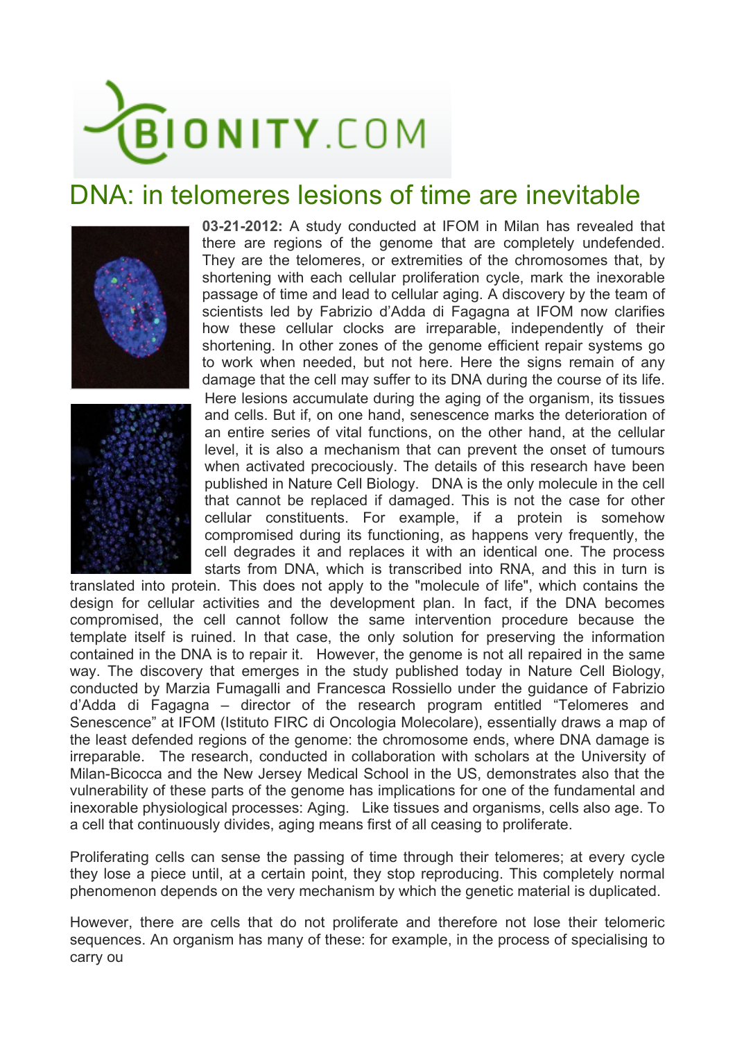

## DNA: in telomeres lesions of time are inevitable





**03-21-2012:** A study conducted at IFOM in Milan has revealed that there are regions of the genome that are completely undefended. They are the telomeres, or extremities of the chromosomes that, by shortening with each cellular proliferation cycle, mark the inexorable passage of time and lead to cellular aging. A discovery by the team of scientists led by Fabrizio d'Adda di Fagagna at IFOM now clarifies how these cellular clocks are irreparable, independently of their shortening. In other zones of the genome efficient repair systems go to work when needed, but not here. Here the signs remain of any damage that the cell may suffer to its DNA during the course of its life. Here lesions accumulate during the aging of the organism, its tissues and cells. But if, on one hand, senescence marks the deterioration of an entire series of vital functions, on the other hand, at the cellular level, it is also a mechanism that can prevent the onset of tumours when activated precociously. The details of this research have been published in Nature Cell Biology. DNA is the only molecule in the cell that cannot be replaced if damaged. This is not the case for other cellular constituents. For example, if a protein is somehow compromised during its functioning, as happens very frequently, the cell degrades it and replaces it with an identical one. The process starts from DNA, which is transcribed into RNA, and this in turn is

translated into protein. This does not apply to the "molecule of life", which contains the design for cellular activities and the development plan. In fact, if the DNA becomes compromised, the cell cannot follow the same intervention procedure because the template itself is ruined. In that case, the only solution for preserving the information contained in the DNA is to repair it. However, the genome is not all repaired in the same way. The discovery that emerges in the study published today in Nature Cell Biology, conducted by Marzia Fumagalli and Francesca Rossiello under the guidance of Fabrizio d'Adda di Fagagna – director of the research program entitled "Telomeres and Senescence" at IFOM (Istituto FIRC di Oncologia Molecolare), essentially draws a map of the least defended regions of the genome: the chromosome ends, where DNA damage is irreparable. The research, conducted in collaboration with scholars at the University of Milan-Bicocca and the New Jersey Medical School in the US, demonstrates also that the vulnerability of these parts of the genome has implications for one of the fundamental and inexorable physiological processes: Aging. Like tissues and organisms, cells also age. To a cell that continuously divides, aging means first of all ceasing to proliferate.

Proliferating cells can sense the passing of time through their telomeres; at every cycle they lose a piece until, at a certain point, they stop reproducing. This completely normal phenomenon depends on the very mechanism by which the genetic material is duplicated.

However, there are cells that do not proliferate and therefore not lose their telomeric sequences. An organism has many of these: for example, in the process of specialising to carry ou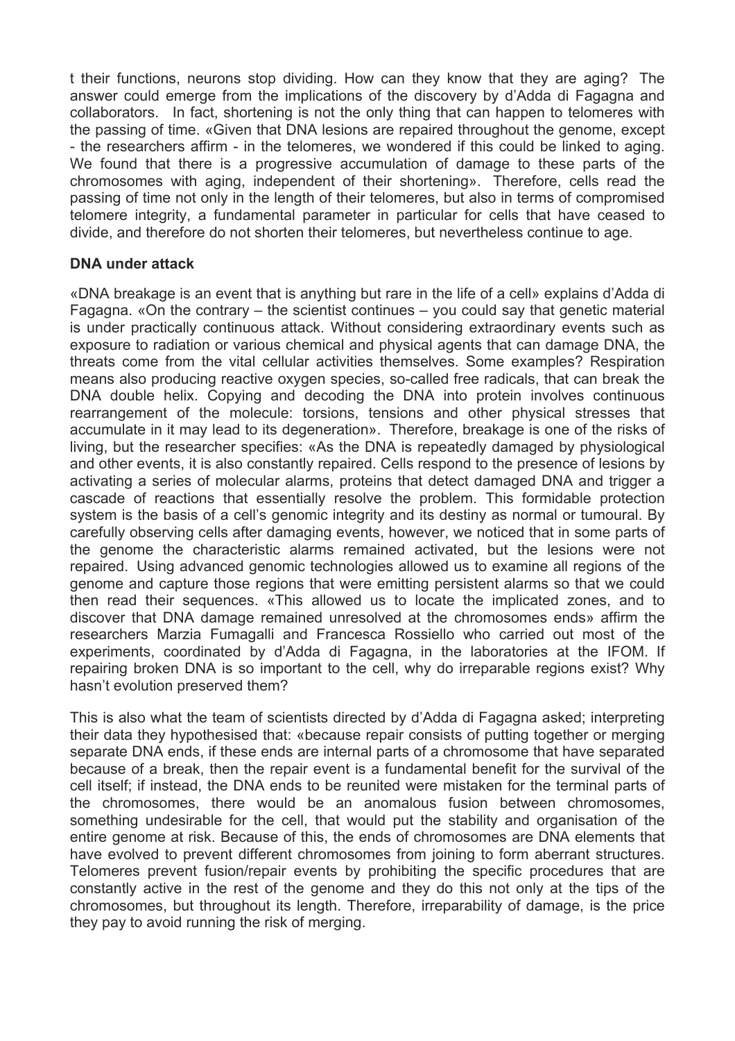t their functions, neurons stop dividing. How can they know that they are aging? The answer could emerge from the implications of the discovery by d'Adda di Fagagna and collaborators. In fact, shortening is not the only thing that can happen to telomeres with the passing of time. «Given that DNA lesions are repaired throughout the genome, except - the researchers affirm - in the telomeres, we wondered if this could be linked to aging. We found that there is a progressive accumulation of damage to these parts of the chromosomes with aging, independent of their shortening». Therefore, cells read the passing of time not only in the length of their telomeres, but also in terms of compromised telomere integrity, a fundamental parameter in particular for cells that have ceased to divide, and therefore do not shorten their telomeres, but nevertheless continue to age.

## **DNA under attack**

«DNA breakage is an event that is anything but rare in the life of a cell» explains d'Adda di Fagagna. «On the contrary – the scientist continues – you could say that genetic material is under practically continuous attack. Without considering extraordinary events such as exposure to radiation or various chemical and physical agents that can damage DNA, the threats come from the vital cellular activities themselves. Some examples? Respiration means also producing reactive oxygen species, so-called free radicals, that can break the DNA double helix. Copying and decoding the DNA into protein involves continuous rearrangement of the molecule: torsions, tensions and other physical stresses that accumulate in it may lead to its degeneration». Therefore, breakage is one of the risks of living, but the researcher specifies: «As the DNA is repeatedly damaged by physiological and other events, it is also constantly repaired. Cells respond to the presence of lesions by activating a series of molecular alarms, proteins that detect damaged DNA and trigger a cascade of reactions that essentially resolve the problem. This formidable protection system is the basis of a cell's genomic integrity and its destiny as normal or tumoural. By carefully observing cells after damaging events, however, we noticed that in some parts of the genome the characteristic alarms remained activated, but the lesions were not repaired. Using advanced genomic technologies allowed us to examine all regions of the genome and capture those regions that were emitting persistent alarms so that we could then read their sequences. «This allowed us to locate the implicated zones, and to discover that DNA damage remained unresolved at the chromosomes ends» affirm the researchers Marzia Fumagalli and Francesca Rossiello who carried out most of the experiments, coordinated by d'Adda di Fagagna, in the laboratories at the IFOM. If repairing broken DNA is so important to the cell, why do irreparable regions exist? Why hasn't evolution preserved them?

This is also what the team of scientists directed by d'Adda di Fagagna asked; interpreting their data they hypothesised that: «because repair consists of putting together or merging separate DNA ends, if these ends are internal parts of a chromosome that have separated because of a break, then the repair event is a fundamental benefit for the survival of the cell itself; if instead, the DNA ends to be reunited were mistaken for the terminal parts of the chromosomes, there would be an anomalous fusion between chromosomes, something undesirable for the cell, that would put the stability and organisation of the entire genome at risk. Because of this, the ends of chromosomes are DNA elements that have evolved to prevent different chromosomes from joining to form aberrant structures. Telomeres prevent fusion/repair events by prohibiting the specific procedures that are constantly active in the rest of the genome and they do this not only at the tips of the chromosomes, but throughout its length. Therefore, irreparability of damage, is the price they pay to avoid running the risk of merging.